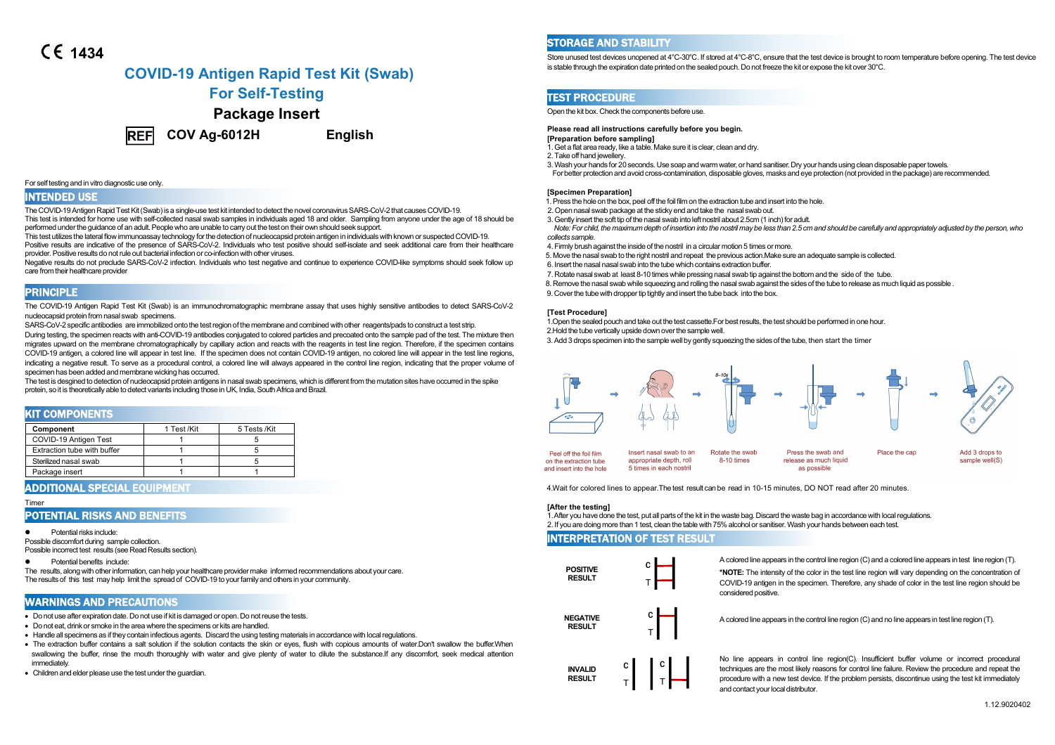# **1434**

# **COVID-19 Antigen Rapid Test Kit (Swab)**

# **For Self-Testing**

# **Package Insert**



**COV Ag-6012H English**

#### For self testing and in vitro diagnostic use only.

#### INTENDED USE

The COVID-19 Antigen Rapid Test Kit (Swab) is a single-use test kit intended to detect the novel coronavirus SARS-CoV-2 that causes COVID-19. This test is intended for home use with self-collected nasal swab samples in individuals aged 18 and older. Sampling from anyone under the age of 18 should be performed under the guidance of an adult. People who are unable to carry out the test on their own should seek support.

This test utilizes the lateral flowimmunoassay technology forthe detection of nucleocapsid protein antigen in individuals with known or suspectedCOVID-19. Positive results are indicative of the presence of SARS-CoV-2. Individuals who test positive should self-isolate and seek additional care from their healthcare provider. Positive results do not rule out bacterial infection or co-infection with other viruses.

Negative results do not preclude SARS-CoV-2 infection. Individuals who test negative and continue to experience COVID-like symptoms should seek follow up care from their healthcare provider

# **PRINCIPLE**

The COVID-19 Antigen Rapid Test Kit (Swab) is an immunochromatographic membrane assay that uses highly sensitive antibodies to detect SARS-CoV-2 nucleocapsid protein from nasal swab specimens.

SARS-CoV-2 specific antibodies are immobilized onto the test region of the membrane and combined with other reagents/pads to construct a test strip.

During testing, the specimen reacts with anti-COVID-19 antibodies conjugated to colored particles and precoated onto the sample pad of the test. The mixture then migrates upward on the membrane chromatographically by capillary action and reacts with the reagents in test line region. Therefore, if the specimen contains COVID-19 antigen, a colored line will appear in test line. If the specimen does not contain COVID-19 antigen, no colored line will appear in the test line regions, indicating a negative result. To serve as a procedural control, a colored line will always appeared in the control line region, indicating that the proper volume of specimen has been added and membrane wicking has occurred.

The test is desgined to detection of nucleocapsid protein antigens in nasal swab specimens, which is different from the mutation sites have occurred in the spike protein, so it is theoretically able to detect variants including those in UK, India, South Africa and Brazil.

### KIT COMPONENTS

| Component                   | 1 Test /Kit | 5 Tests /Kit |
|-----------------------------|-------------|--------------|
| COVID-19 Antigen Test       |             |              |
| Extraction tube with buffer |             |              |
| Sterilized nasal swab       |             |              |
| Package insert              |             |              |

### **ADDITIONAL SPECIAL EQUIP**

#### Timer

### POTENTIAL RISKS AND BENEFITS

Potential risks include:

Possible discomfort during sample collection. Possible incorrect test results (see Read Results section).

Potential benefits include:

The results, alongwith otherinformation, can help your healthcare provider make informed recommendations about your care. The results of this test may help limit the spread of COVID-19 to yourfamily and others in your community.

# WARNINGS AND PRECAUTIONS

- Do not use after expiration date. Do not use if kit is damaged or open. Do not reuse the tests.
- Do not eat, drink or smoke in the area where the specimens or kits are handled.
- Handle all specimens as if they contain infectious agents. Discard the using testing materials in accordance with local regulations.
- The extraction buffer contains a salt solution if the solution contacts the skin or eyes, flush with copious amounts of water.Don't swallow the buffer.When swallowing the buffer, rinse the mouth thoroughly with water and give plenty of water to dilute the substance.If any discomfort, seek medical attention immediately.
- Children and elder please use the test under the quardian

### STORAGE AND STABILITY

Store unused test devices unopened at 4°C-30°C. If stored at 4°C-8°C, ensure that the test device is brought to room temperature before opening. The test device is stable through the expiration date printed on the sealed pouch. Do not freeze the kit or expose the kit over 30°C.

### TEST PROCEDURE

Open the kit box.Check the components before use.

# **Please read all instructions carefully before you begin.**

### **[Preparation before sampling]**

- 1.Get a flat area ready, like a table. Make sure it is clear, clean and dry.
- 2.Take off hand jewellery.
- 3.Wash your hands for 20seconds. Use soap andwarm water, or hand sanitiser.Dry your hands using clean disposable papertowels.
- Forbetter protection and avoid cross-contamination, disposable gloves, masks and eye protection (not provided in the package) arerecommended.

### **[Specimen Preparation]**

- 1.Press the hole on the box, peel off the foil film on the extraction tube and insert into the hole.
- 2.Open nasal swab package at the sticky end and take the nasal swab out.
- 3.Gently insert the soft tip of the nasal swab into left nostrilabout 2.5cm (1 inch) for adult.
- Note: For child, the maximum depth of insertion into the nostril may be less than 2.5 cm and should be carefully and appropriately adjusted by the person, who *collects sample.*
- 4.Firmly brush against the inside of the nostril in a circular motion 5 times or more.
- 5. Move the nasal swab to the right nostril and repeat the previous action.Make sure an adequate sample is collected.
- 6. Insert the nasal nasal swab into the tubewhich contains extraction buffer.
- 7.Rotate nasal swab at least 8-10 times while pressing nasal swab tip against the bottom and the sideof the tube.
- 8.Remove the nasal swab while squeezing and rolling the nasal swab against the sides of the tube to release as much liquid as possible .
- 9. Cover the tube with dropper tip tightly and insert the tube back into the box.

#### **[Test Procedure]**

1.Open the sealed pouch and take out the test cassette.For bestresults, the test should be performed in one hour.

2.Hold the tube vertically upside down overthe sample well.

3. Add 3 drops specimen into the sample well by gently squeezing the sides of the tube, then start the timer



| eel off the foil film  | Insert nasal swab to an | Rotate the swab | Press the swab and     | Place the cap | Add 3 drops to |
|------------------------|-------------------------|-----------------|------------------------|---------------|----------------|
| the extraction tube    | appropriate depth, roll | 8-10 times      | release as much liquid |               | sample well(S) |
| d insert into the hole | 5 times in each nostril |                 | as possible            |               |                |

4.Wait for colored lines to appear.The test result can be read in 10-15 minutes, DO NOT read after 20 minutes.

#### **[After the testing]**

or

1.After you have done the test, put allparts of the kit in thewaste bag.Discard thewaste bag in accordance with localregulations. 2. If you are doing more than 1 test, clean the table with 75% alcoholor sanitiser. Wash yourhands between each test.

### INTERPRETATION OF TEST RESULT



A colored line appears in the control line region (C) and a colored line appears in test line region (T).

T COVID-19 antigen in the specimen. Therefore, any shade of color in the test line region should be **\*NOTE:** The intensity of the color in the test line region will vary depending on the concentration of considered positive.



A colored line appears in the control line region (C) and no line appears in test line region (T).



**INVALID RESULT** C C C te<br>**RESULT** T T P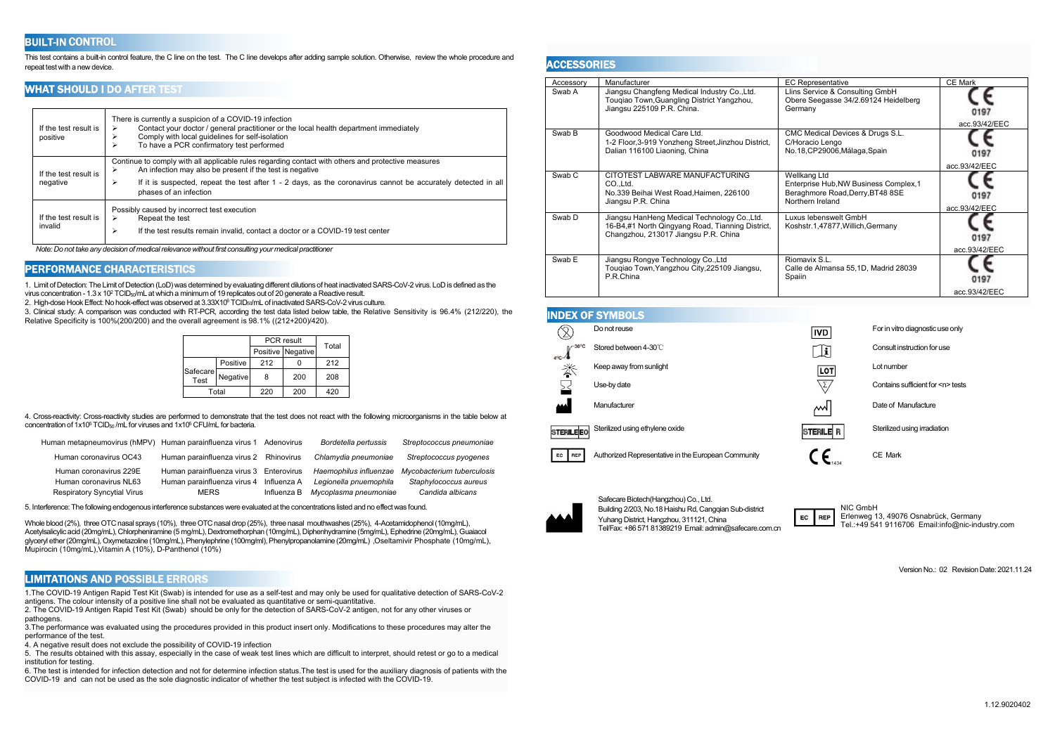# **BUILT-IN CONTROL**

This test contains a built-in control feature, the C line on the test. The C line develops after adding sample solution. Otherwise, review the whole procedure and repeat testwith a new device.

### WHAT SHOULD I DO AFTER TEST

| If the test result is<br>positive | There is currently a suspicion of a COVID-19 infection<br>Contact your doctor / general practitioner or the local health department immediately<br>⋗<br>Comply with local quidelines for self-isolation<br>To have a PCR confirmatory test performed<br>⋗                                                           | Swab |
|-----------------------------------|---------------------------------------------------------------------------------------------------------------------------------------------------------------------------------------------------------------------------------------------------------------------------------------------------------------------|------|
| If the test result is<br>negative | Continue to comply with all applicable rules regarding contact with others and protective measures<br>An infection may also be present if the test is negative<br>⋗<br>If it is suspected, repeat the test after 1 - 2 days, as the coronavirus cannot be accurately detected in all<br>⋗<br>phases of an infection | Swab |
| If the test result is<br>invalid  | Possibly caused by incorrect test execution<br>Repeat the test<br>⋗<br>If the test results remain invalid, contact a doctor or a COVID-19 test center<br>⋗                                                                                                                                                          | Swab |

*Note: Do not take any decision of medicalrelevance without first consulting your medical practitioner*

### PERFORMANCE CHARACTERISTICS

1. Limit ofDetection: The Limit ofDetection (LoD)was determined byevaluating different dilutions of heat inactivatedSARS-CoV-2 virus. LoDis defined as the virus concentration - 1.3 x 10<sup>2</sup> TCID<sub>50</sub>/mL at which a minimum of 19 replicates out of 20 generate a Reactive result.

2. High-dose Hook Effect: No hook-effect was observed at 3.33X10<sup>6</sup> TCID<sub>50</sub>/mL of inactivated SARS-CoV-2 virus culture.

3. Clinical study: A comparison was conducted with RT-PCR, according the test data listed below table, the Relative Sensitivity is 96.4% (212/220), the Relative Specificity is 100%(200/200) and the overall agreement is 98.1% ((212+200)/420).

|                  |          |     | PCR result        |       |  |
|------------------|----------|-----|-------------------|-------|--|
|                  |          |     | Positive Negative | Total |  |
|                  | Positive | 212 |                   | 212   |  |
| Safecare<br>Test | Negative | 8   | 200               | 208   |  |
| Total            |          | 220 | 200               | 420   |  |

4. Cross-reactivity: Cross-reactivity studies are performed to demonstrate that the testdoes not react with the following microorganisms in the table below at concentration of 1x10<sup>5</sup> TCID<sub>50</sub> /mL for viruses and 1x10<sup>5</sup> CFU/mL for bacteria.

| Human metapneumovirus (hMPV) Human parainfluenza virus 1 Adenovirus |                                         |             | Bordetella pertussis   | Streptococcus pneumoniae   |    |
|---------------------------------------------------------------------|-----------------------------------------|-------------|------------------------|----------------------------|----|
| Human coronavirus OC43                                              | Human parainfluenza virus 2 Rhinovirus  |             | Chlamydia pneumoniae   | Streptococcus pyogenes     | EC |
| Human coronavirus 229E                                              | Human parainfluenza virus 3 Enterovirus |             | Haemophilus influenzae | Mycobacterium tuberculosis |    |
| Human coronavirus NL63                                              | Human parainfluenza virus 4 Influenza A |             | Legionella pnuemophila | Staphylococcus aureus      |    |
| <b>Respiratory Syncytial Virus</b>                                  | MERS                                    | Influenza B | Mycoplasma pneumoniae  | Candida albicans           |    |
|                                                                     |                                         |             |                        |                            |    |

5. Interference: The following endogenous interference substances were evaluated at the concentrations listed and no effectwas found.

Whole blood (2%), three OTC nasal sprays (10%), three OTC nasal drop (25%), three nasal mouthwashes (25%), 4-Acetamidophenol (10mg/mL), Acetylsalicylic acid (20mg/mL), Chlorpheniramine (5 mg/mL), Dextromethorphan (10mg/mL), Diphenhydramine (5mg/mL), Ephedrine (20mg/mL), Guaiacol glyceryl ether (20mg/mL), Oxymetazoline (10mg/mL), Phenylephrine (100mg/ml), Phenylpropanolamine (20mg/mL), Oseltamivir Phosphate (10mg/mL),<br>Mupirocin (10mg/mL),Vitamin A (10%), D-Panthenol (10%)

# LIMITATIONS AND POSSIBLE ERRORS

1.The COVID-19 Antigen Rapid Test Kit (Swab) is intended for use as a self-test and may only be used for qualitative detection of SARS-CoV-2 antigens. The colour intensity of a positive line shall not be evaluated as quantitative or semi-quantitative.

2. The COVID-19 Antigen Rapid Test Kit (Swab) should be only for the detection of SARS-CoV-2 antigen, not for any other viruses or pathogens.

3.The performance was evaluated using the procedures provided in this product insert only. Modifications to these procedures may alter the performance of the test.

4. A negative result does not exclude the possibility of COVID-19 infection

5. The results obtained with this assay, especially in the case of weak test lines which are difficult to interpret, should retest or go to a medical institution for testing.

6. The test is intended for infection detection and not for determine infection status.The test is used for the auxiliary diagnosis of patients with the COVID-19 and can not be used as the sole diagnostic indicator of whether the test subject is infected with the COVID-19.

### **ACCESSORIES**

| Accessory         | Manufacturer                                                                                                                             | <b>EC Representative</b>                                                                                       | <b>CE Mark</b>        |
|-------------------|------------------------------------------------------------------------------------------------------------------------------------------|----------------------------------------------------------------------------------------------------------------|-----------------------|
| Swab A            | Jiangsu Changfeng Medical Industry Co., Ltd.<br>Touqiao Town, Guangling District Yangzhou,<br>Jiangsu 225109 P.R. China.                 | Llins Service & Consulting GmbH<br>Obere Seegasse 34/2.69124 Heidelberg<br>Germany                             | 0197<br>acc.93/42/EEC |
| Swab B            | Goodwood Medical Care Ltd.<br>1-2 Floor, 3-919 Yonzheng Street, Jinzhou District,<br>Dalian 116100 Liaoning, China                       | CMC Medical Devices & Drugs S.L.<br>C/Horacio Lengo<br>No.18, CP29006, Málaga, Spain                           | 0197<br>acc.93/42/EEC |
| Swab <sub>C</sub> | CITOTEST LABWARE MANUFACTURING<br>CO.Ltd.<br>No.339 Beihai West Road, Haimen, 226100<br>Jiangsu P.R. China                               | Wellkang Ltd<br>Enterprise Hub, NW Business Complex, 1<br>Beraghmore Road, Derry, BT48 8SE<br>Northern Ireland | 0197<br>acc.93/42/EEC |
| Swab D            | Jiangsu HanHeng Medical Technology Co., Ltd.<br>16-B4,#1 North Qingyang Road, Tianning District,<br>Changzhou, 213017 Jiangsu P.R. China | Luxus lebenswelt GmbH<br>Koshstr.1,47877, Willich, Germany                                                     | 0197<br>acc.93/42/EEC |
| Swab E            | Jiangsu Rongye Technology Co., Ltd<br>Tougiao Town, Yangzhou City, 225109 Jiangsu,<br>P.R.China                                          | Riomavix S.L.<br>Calle de Almansa 55,1D, Madrid 28039<br>Spaiin                                                | 0197<br>acc.93/42/EEC |

### INDEX OF SYMBOLS

|                   | Do not reuse                                        | <b>IVD</b>               | For in vitro diagnostic use only      |
|-------------------|-----------------------------------------------------|--------------------------|---------------------------------------|
| $4^{\circ}C^{-1}$ | Stored between 4-30°C                               | Ŀ                        | Consult instruction for use           |
| 举                 | Keep away from sunlight                             | LOT                      | Lot number                            |
|                   | Use-by date                                         | $\overline{\mathcal{L}}$ | Contains sufficient for <n> tests</n> |
| لممم              | Manufacturer                                        | ᄴ                        | Date of Manufacture                   |
| <b>STERILEEO</b>  | Sterilized using ethylene oxide                     | STERILE <sup>R</sup>     | Sterilized using irradiation          |
| EC<br>REP         | Authorized Representative in the European Community | 1434                     | CE Mark                               |



Safecare Biotech(Hangzhou) Co., Ltd. Building 2/203, No.18 Haishu Rd, Cangqian Sub-district<br>Vulgare District Hangmhau, 211121, China Yuhang District, Hangzhou, 311121, China Building 2/203, No.18 Haishu Rd, Cangqian Sub-district<br>
Yuhang District, Hangzhou, 311121, China<br>
Tel/Fax: +86 571 81389219 Email: admin@safecare.com.cn Tell.:+49 54

Erlenweg 13, 49076 Osnabrück, Germany Tel.:+49 541 9116706 Email:info@nic-industry.com

VersionNo.: 02 Revision Date: 2021.11.24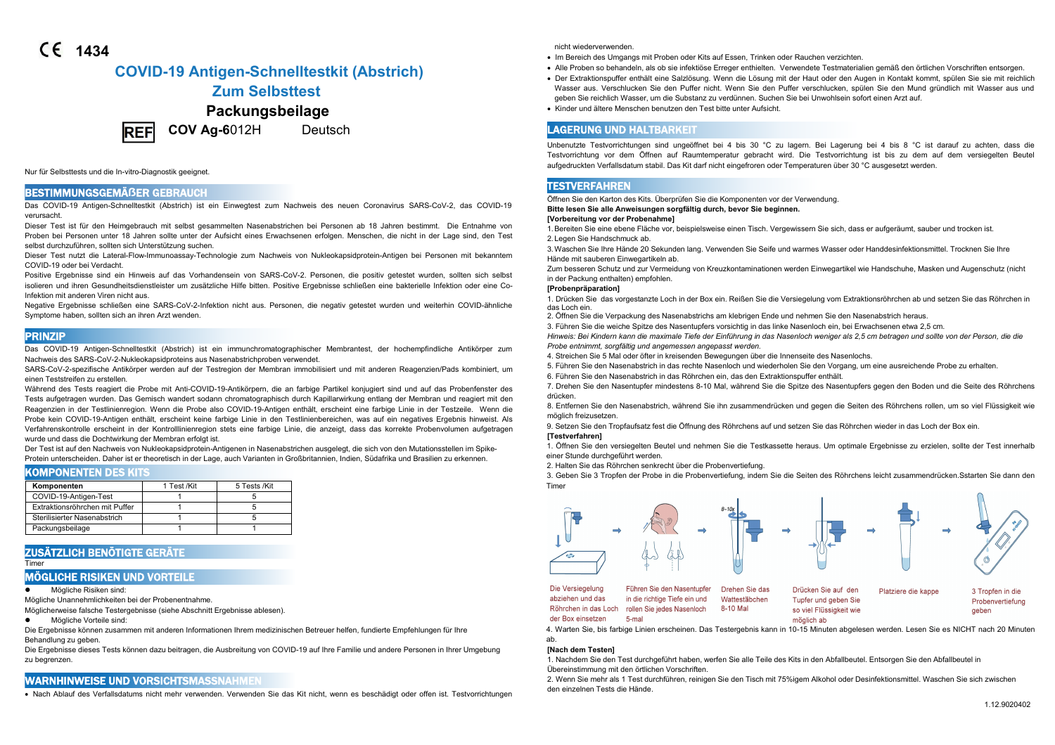# **1434**

# **COVID-19 Antigen-Schnelltestkit (Abstrich)**

# **Zum Selbsttest**

# **Packungsbeilage**



**COV Ag-6**012H Deutsch

Nur für Selbsttests und die In-vitro-Diagnostik geeignet.

# BESTIMMUNGSGEMÄ**ẞ**ER GEBRAUCH

Das COVID-19 Antigen-Schnelltestkit (Abstrich) ist ein Einwegtest zum Nachweis des neuen Coronavirus SARS-CoV-2, das COVID-19 verursacht.

Dieser Test ist für den Heimgebrauch mit selbst gesammelten Nasenabstrichen bei Personen ab 18 Jahren bestimmt. Die Entnahme von Proben bei Personen unter 18 Jahren sollte unter der Aufsicht eines Erwachsenen erfolgen. Menschen, die nicht in der Lage sind, den Test selbst durchzuführen, sollten sich Unterstützung suchen.

Dieser Test nutzt die Lateral-Flow-Immunoassay-Technologie zum Nachweis von Nukleokapsidprotein-Antigen bei Personen mit bekanntem COVID-19 oder bei Verdacht.

Positive Ergebnisse sind ein Hinweis auf das Vorhandensein von SARS-CoV-2. Personen, die positiv getestet wurden, sollten sich selbst isolieren und ihren Gesundheitsdienstleister um zusätzliche Hilfe bitten. Positive Ergebnisse schließen eine bakterielle Infektion oder eine Co-Infektion mit anderen Viren nicht aus.

Negative Ergebnisse schließen eine SARS-CoV-2-Infektion nicht aus. Personen, die negativ getestet wurden und weiterhin COVID-ähnliche Symptome haben, sollten sich an ihren Arzt wenden.

### PRINZIP

Das COVID-19 Antigen-Schnelltestkit (Abstrich) ist ein immunchromatographischer Membrantest, der hochempfindliche Antikörper zum Nachweis des SARS-CoV-2-Nukleokapsidproteins aus Nasenabstrichproben verwendet.

SARS-CoV-2-spezifische Antikörper werden auf der Testregion der Membran immobilisiert und mit anderen Reagenzien/Pads kombiniert, um einen Teststreifen zu erstellen.

Während des Tests reagiert die Probe mit Anti-COVID-19-Antikörpern, die an farbige Partikel konjugiert sind und auf das Probenfenster des Tests aufgetragen wurden. Das Gemisch wandert sodann chromatographisch durch Kapillarwirkung entlang der Membran und reagiert mit den Reagenzien in der Testlinienregion. Wenn die Probe also COVID-19-Antigen enthält, erscheint eine farbige Linie in der Testzeile. Wenn die Probe kein COVID-19-Antigen enthält, erscheint keine farbige Linie in den Testlinienbereichen, was auf ein negatives Ergebnis hinweist. Als Verfahrenskontrolle erscheint in der Kontrolllinienregion stets eine farbige Linie, die anzeigt, dass das korrekte Probenvolumen aufgetragen wurde und dass die Dochtwirkung der Membran erfolgt ist.

Der Test ist auf den Nachweis von Nukleokapsidprotein-Antigenen in Nasenabstrichen ausgelegt, die sich von den Mutationsstellen im Spike- Protein unterscheiden. Daher ist er theoretisch in der Lage, auch Varianten in Großbritannien, Indien, Südafrika und Brasilien zu erkennen.

### KOMPONENTEN DES KITS

| Komponenten                    | 1 Test /Kit | 5 Tests /Kit |
|--------------------------------|-------------|--------------|
| COVID-19-Antigen-Test          |             |              |
| Extraktionsröhrchen mit Puffer |             |              |
| Sterilisierter Nasenabstrich   |             |              |
| Packungsbeilage                |             |              |

# ZUSÄTZLICH BENÖTIGTE GERÄTE

Timer

# MÖGLICHE RISIKEN UND VORTEILE

Mögliche Risiken sind:

Mögliche Unannehmlichkeiten bei der Probenentnahme.

Möglicherweise falsche Testergebnisse (siehe Abschnitt Ergebnisse ablesen).

Mögliche Vorteile sind:

Die Ergebnisse können zusammen mit anderen Informationen Ihrem medizinischen Betreuer helfen, fundierte Empfehlungen für Ihre Behandlung zu geben.

Die Ergebnisse dieses Tests können dazu beitragen, die Ausbreitung von COVID-19 auf Ihre Familie und andere Personen in Ihrer Umgebung zu begrenzen.

## WARNHINWEISE UND VORSICHTSMASSNAHMEN

Nach Ablauf des Verfallsdatums nicht mehr verwenden. Verwenden Sie das Kit nicht, wenn es beschädigt oder offen ist. Testvorrichtungen

nicht wiederverwenden.

- Im Bereich des Umgangs mit Proben oder Kits auf Essen, Trinken oder Rauchen verzichten.
- Alle Proben so behandeln,als ob sie infektiöse Erreger enthielten. Verwendete Testmaterialien gemäß den örtlichen Vorschriften entsorgen.
- Der Extraktionspuffer enthält eine Salzlösung. Wenn die Lösung mitder Haut oder den Augen in Kontakt kommt, spülen Sie sie mit reichlich Wasser aus. Verschlucken Sie den Puffer nicht. Wenn Sie den Puffer verschlucken, spülen Sie den Mund gründlich mit Wasser aus und geben Sie reichlich Wasser, um die Substanz zu verdünnen. Suchen Sie bei Unwohlsein sofort einen Arzt auf.
- Kinder und ältere Menschen benutzen den Test bitte unter Aufsicht.

# LAGERUNG UND HALTBARKEIT

Unbenutzte Testvorrichtungen sind ungeöffnet bei 4 bis 30 °C zu lagern. Bei Lagerung bei 4 bis 8 °C ist darauf zu achten, dass die Testvorrichtung vor dem Öffnen auf Raumtemperatur gebracht wird. Die Testvorrichtung ist bis zu dem auf dem versiegelten Beutel aufgedruckten Verfallsdatum stabil. Das Kit darf nicht eingefroren oder Temperaturen über 30 °C ausgesetzt werden.

# **TESTVERFAHREN**

Öffnen Sie den Karton des Kits. Überprüfen Sie die Komponenten vor der Verwendung.

**Bitte lesen Sie alle Anweisungen sorgfältig durch, bevor Sie beginnen.**

#### **[Vorbereitung vor der Probenahme]**

1.Bereiten Sie eine ebene Fläche vor, beispielsweise einen Tisch. Vergewissern Sie sich, dass er aufgeräumt, sauber und trocken ist. 2. Legen Sie Handschmuck ab.

3.Waschen Sie Ihre Hände 20 Sekunden lang. Verwenden Sie Seife und warmes Wasser oder Handdesinfektionsmittel. Trocknen Sie Ihre Hände mit sauberen Einwegartikeln ab.

Zum besseren Schutz und zur Vermeidung von Kreuzkontaminationen werden Einwegartikel wie Handschuhe, Masken und Augenschutz (nicht in der Packung enthalten) empfohlen.

### **[Probenpräparation]**

1. Drücken Sie das vorgestanzte Loch in der Box ein. Reißen Sie die Versiegelung vom Extraktionsröhrchen ab und setzen Sie das Röhrchen in das Loch ein.

- 2. Öffnen Sie die Verpackung des Nasenabstrichs am klebrigen Ende und nehmen Sie den Nasenabstrich heraus.
- 3. Führen Sie die weiche Spitze des Nasentupfers vorsichtig in das linke Nasenloch ein, bei Erwachsenen etwa 2,5 cm.

Hinweis: Bei Kindern kann die maximale Tiefe der Einführung in das Nasenloch weniger als 2,5 cm betragen und sollte von der Person, die die *Probe entnimmt, sorgfältig und angemessen angepasst werden.*

- 4. Streichen Sie 5 Mal oderöfter in kreisenden Bewegungen über die Innenseite des Nasenlochs.
- 5. Führen Sie den Nasenabstrich in das rechte Nasenloch und wiederholen Sie den Vorgang, um eine ausreichende Probe zu erhalten.
- 6. Führen Sie den Nasenabstrich in das Röhrchen ein, das den Extraktionspuffer enthält.

7. Drehen Sie den Nasentupfer mindestens 8-10 Mal, während Sie die Spitze des Nasentupfers gegen den Boden und die Seite des Röhrchens drücken.

8. Entfernen Sie den Nasenabstrich, während Sie ihn zusammendrücken und gegen die Seiten des Röhrchens rollen, um so viel Flüssigkeit wie möglich freizusetzen.

9. Setzen Sie den Tropfaufsatz fest die Öffnung des Röhrchens auf und setzen Sie das Röhrchen wieder in das Loch der Box ein. **[Testverfahren]**

1. Öffnen Sie den versiegelten Beutel und nehmen Sie die Testkassette heraus. Um optimale Ergebnisse zu erzielen, sollte der Test innerhalb einer Stunde durchgeführt werden.

2. Halten Sie das Röhrchen senkrecht über die Probenvertiefung.

3. Geben Sie 3 Tropfen der Probe in die Probenvertiefung, indem Sie die Seiten des Röhrchens leicht zusammendrücken.Sstarten Sie dann den Timer



Die Versiegelung Führen Sie den Nasentupfer abziehen und das in die richtige Tiefe ein und Röhrchen in das Loch rollen Sie jedes Nasenloch der Box einsetzen  $5 - m<sub>2</sub>$ 

Drehen Sie das Drücken Sie auf den Wattestäbchen Tupfer und geben Sie 8-10 Mal so viel Flüssigkeit wie

Platziere die kappe



4. Warten Sie, bis farbige Linien erscheinen. Das Testergebnis kann in 10-15 Minuten abgelesen werden. Lesen Sie es NICHT nach 20 Minuten ab.

möglich ab

### **[Nach dem Testen]**

1. Nachdem Sie den Test durchgeführt haben, werfen Sie alle Teile des Kits in den Abfallbeutel. Entsorgen Sie den Abfallbeutel in Übereinstimmung mit den örtlichen Vorschriften.

2. Wenn Sie mehrals 1 Test durchführen, reinigen Sie den Tisch mit 75%igem Alkohol oder Desinfektionsmittel. Waschen Sie sich zwischen den einzelnen Tests die Hände.